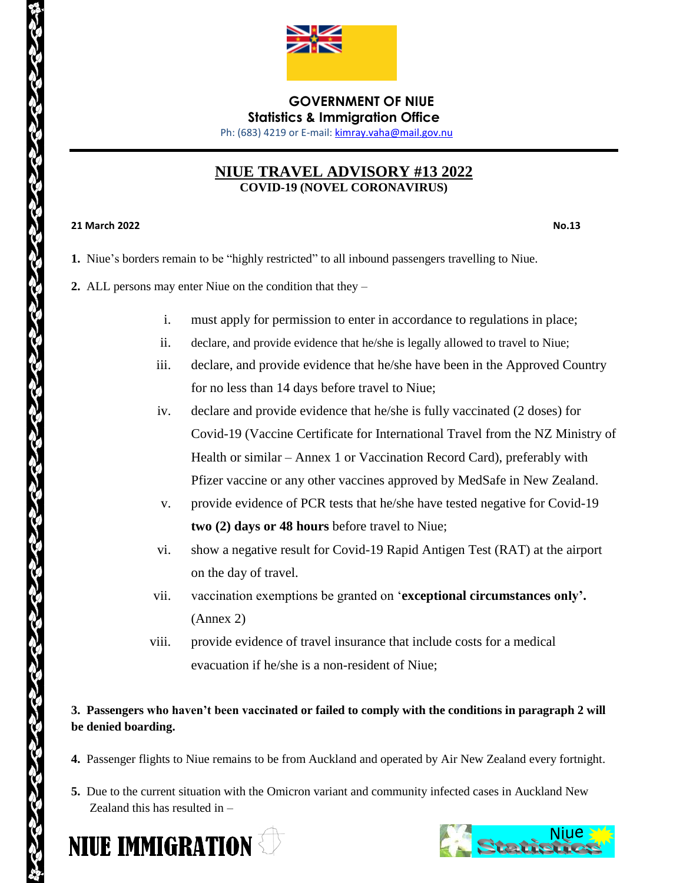

# **GOVERNMENT OF NIUE Statistics & Immigration Office**

Ph: (683) 4219 or E-mail[: kimray.vaha@mail.gov.nu](mailto:kimray.vaha@mail.gov.nu)

# **NIUE TRAVEL ADVISORY #13 2022 COVID-19 (NOVEL CORONAVIRUS)**

#### **21 March 2022 No.13**

- **1.** Niue's borders remain to be "highly restricted" to all inbound passengers travelling to Niue.
- **2.** ALL persons may enter Niue on the condition that they
	- i. must apply for permission to enter in accordance to regulations in place;
	- ii. declare, and provide evidence that he/she is legally allowed to travel to Niue;
	- iii. declare, and provide evidence that he/she have been in the Approved Country for no less than 14 days before travel to Niue;
	- iv. declare and provide evidence that he/she is fully vaccinated (2 doses) for Covid-19 (Vaccine Certificate for International Travel from the NZ Ministry of Health or similar – Annex 1 or Vaccination Record Card), preferably with Pfizer vaccine or any other vaccines approved by MedSafe in New Zealand.
	- v. provide evidence of PCR tests that he/she have tested negative for Covid-19 **two (2) days or 48 hours** before travel to Niue;
	- vi. show a negative result for Covid-19 Rapid Antigen Test (RAT) at the airport on the day of travel.
	- vii. vaccination exemptions be granted on '**exceptional circumstances only'.**  (Annex 2)
	- viii. provide evidence of travel insurance that include costs for a medical evacuation if he/she is a non-resident of Niue;

## **3. Passengers who haven't been vaccinated or failed to comply with the conditions in paragraph 2 will be denied boarding.**

- **4.** Passenger flights to Niue remains to be from Auckland and operated by Air New Zealand every fortnight.
- **5.** Due to the current situation with the Omicron variant and community infected cases in Auckland New Zealand this has resulted in –



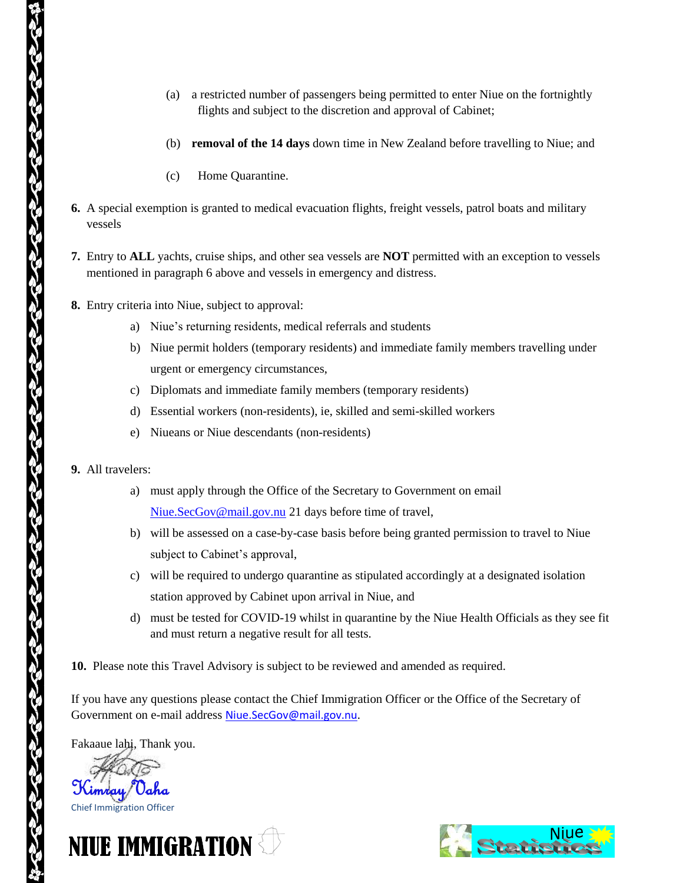- (a) a restricted number of passengers being permitted to enter Niue on the fortnightly flights and subject to the discretion and approval of Cabinet;
- (b) **removal of the 14 days** down time in New Zealand before travelling to Niue; and
- (c) Home Quarantine.
- **6.** A special exemption is granted to medical evacuation flights, freight vessels, patrol boats and military vessels
- **7.** Entry to **ALL** yachts, cruise ships, and other sea vessels are **NOT** permitted with an exception to vessels mentioned in paragraph 6 above and vessels in emergency and distress.
- **8.** Entry criteria into Niue, subject to approval:
	- a) Niue's returning residents, medical referrals and students
	- b) Niue permit holders (temporary residents) and immediate family members travelling under urgent or emergency circumstances,
	- c) Diplomats and immediate family members (temporary residents)
	- d) Essential workers (non-residents), ie, skilled and semi-skilled workers
	- e) Niueans or Niue descendants (non-residents)
- **9.** All travelers:
	- a) must apply through the Office of the Secretary to Government on email [Niue.SecGov@mail.gov.nu](mailto:Niue.SecGov@mail.gov.nu) 21 days before time of travel,
	- b) will be assessed on a case-by-case basis before being granted permission to travel to Niue subject to Cabinet's approval,
	- c) will be required to undergo quarantine as stipulated accordingly at a designated isolation station approved by Cabinet upon arrival in Niue, and
	- d) must be tested for COVID-19 whilst in quarantine by the Niue Health Officials as they see fit and must return a negative result for all tests.

**10.** Please note this Travel Advisory is subject to be reviewed and amended as required.

If you have any questions please contact the Chief Immigration Officer or the Office of the Secretary of Government on e-mail address [Niue.SecGov@mail.gov.nu](mailto:Niue.SecGov@mail.gov.nu).

Fakaaue lahi, Thank you.





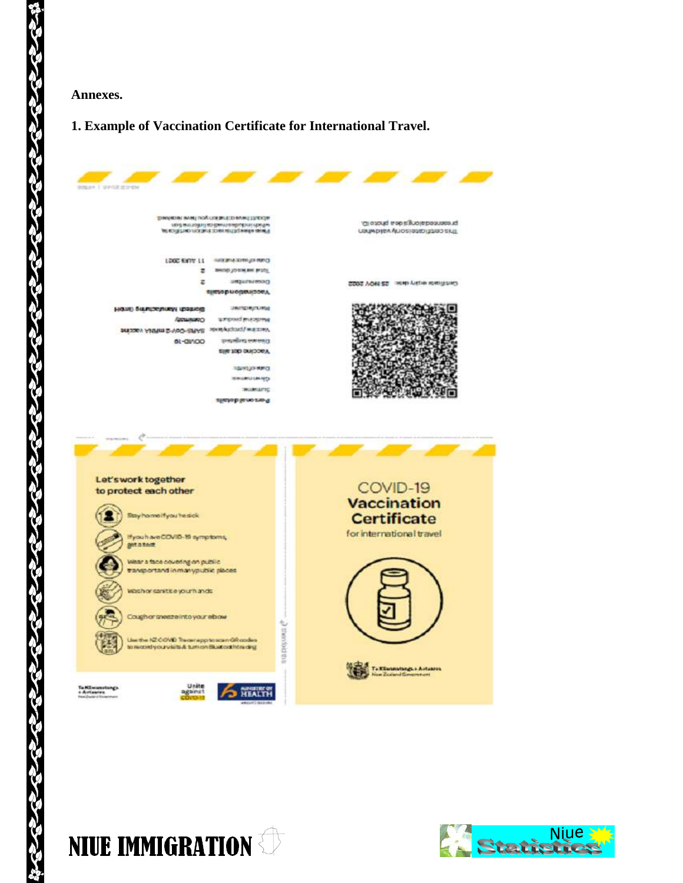#### **Annexes.**

es<br>N

**SOCIAL** 

# **1. Example of Vaccination Certificate for International Travel.**

| <b>Madril Gridzarow</b>                                                                                                                                                                                                                                                                                                                                                 |                                                                                                                                                               |                                                                                                                |
|-------------------------------------------------------------------------------------------------------------------------------------------------------------------------------------------------------------------------------------------------------------------------------------------------------------------------------------------------------------------------|---------------------------------------------------------------------------------------------------------------------------------------------------------------|----------------------------------------------------------------------------------------------------------------|
|                                                                                                                                                                                                                                                                                                                                                                         | REPORT BANK CONTROL AND INVESTIGATION<br>могут и созданию домазования и предме<br>Financial element (financial participants) can fat                          | in except experience bacome<br>COUMD BEA ALIOS (USED LESS SALE)                                                |
| LDGC EVITY 11<br>$\overline{z}$<br>ż                                                                                                                                                                                                                                                                                                                                    | <b>UNKIRLA SORA 49 MINO</b><br>SHIDELISTING MH BESTIL<br>Departments and<br>предормормарое д.                                                                 | SSOS VON 22 - HINH YARD MORTGET                                                                                |
| HIGHE SULFICIESTICKY IDDING<br><b>ПОЛИНИЯ</b><br>MESSAN ANTIFICIAL SAND-SPACE working various<br>61-GIVIDO                                                                                                                                                                                                                                                              | <b>ЭВИТЕРИЗГИЯМ</b><br>amproved processing<br>दानदासीलाइ स्लाम सम्पाद<br>Vaccine data alia<br><b>DAN CLIVILLE</b><br>жешешкелер<br>звижшліс<br>riatioblament9 |                                                                                                                |
| Let's work together<br>to protect each other<br>Stay home if you he sick<br>Hyou have COVID-19 symptoms,<br><b>BARATAR</b><br>Wear a face covering on public<br>transportand in manypublic places.<br>Washorsanitise your hands<br>Cough or sneeze into your elaow<br>Use the NZ-COVID Treasmapp to scan GR codes<br>to record your visits & turn on Bust out htra ding | amonous a                                                                                                                                                     | COVID-19<br><b>Vaccination</b><br><b>Certificate</b><br>for international travel<br>To Kilomatangs, a Autuneos |
| Unitie<br>Ta Männasstangs<br>against<br>e Autawwe                                                                                                                                                                                                                                                                                                                       | HEALTH                                                                                                                                                        | in Zudand Ginemman)                                                                                            |